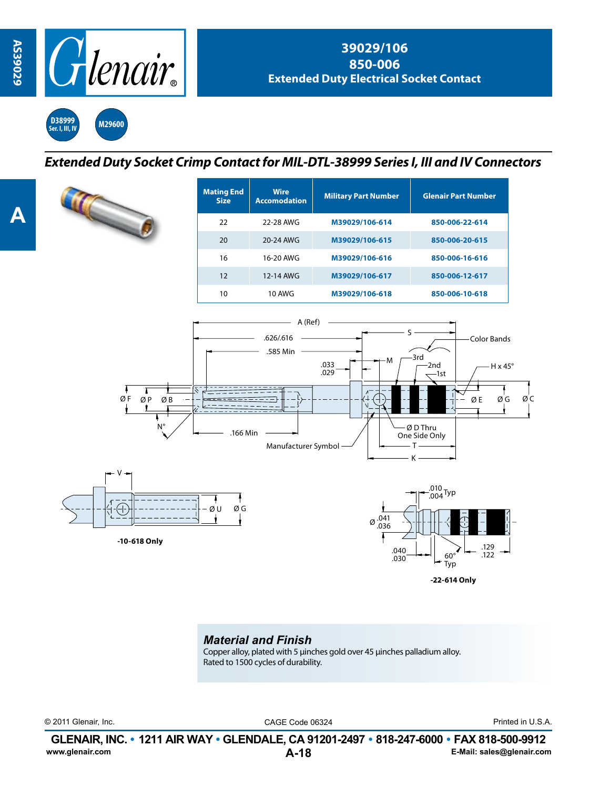

**D38999 Ser. I, III, IV M29600**

## *Extended Duty Socket Crimp Contact for MIL-DTL-38999 Series I, III and IV Connectors*

| <b>Mating End</b><br><b>Size</b> | <b>Wire</b><br><b>Accomodation</b> | <b>Military Part Number</b> | <b>Glenair Part Number</b>                         |  |  |
|----------------------------------|------------------------------------|-----------------------------|----------------------------------------------------|--|--|
| 22                               | 22-28 AWG                          | M39029/106-614              | 850-006-22-614                                     |  |  |
| 20                               | 20-24 AWG                          | M39029/106-615              | 850-006-20-615                                     |  |  |
| 16                               | 16-20 AWG                          | M39029/106-616              | 850-006-16-616                                     |  |  |
| 12                               | 12-14 AWG                          | M39029/106-617              | 850-006-12-617                                     |  |  |
| 10                               | <b>10 AWG</b>                      | M39029/106-618              | 850-006-10-618                                     |  |  |
|                                  | A (Ref)<br>.626/.616<br>.585 Min   | $-+M$<br>.033               | Color Bands<br>-3rd<br>-2nd<br>$H \times 45^\circ$ |  |  |







## *Material and Finish*

Copper alloy, plated with 5 μinches gold over 45 μinches palladium alloy. Rated to 1500 cycles of durability.

© 2011 Glenair, Inc. CAGE Code 06324 Printed in U.S.A.

**A-18 GLENAIR, INC. • 1211 AIR WAY • GLENDALE, CA 91201-2497 • 818-247-6000 • FAX 818-500-9912**<br>E-Mail: sales@glenair.com **www.glenair.com E-Mail: sales@glenair.com**